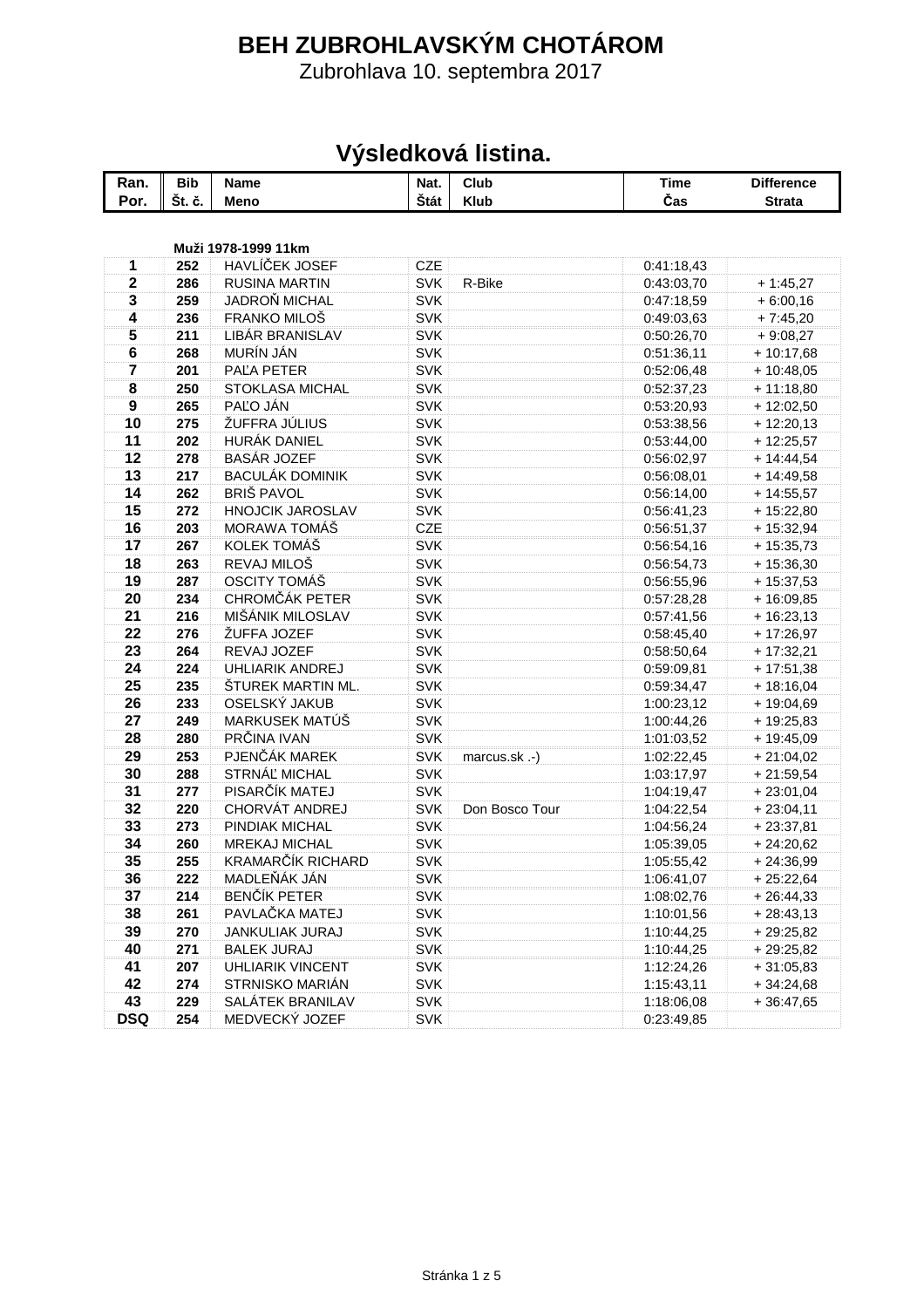## **BEH ZUBROHLAVSKÝM CHOTÁROM**

Zubrohlava 10. septembra 2017

## **Výsledková listina.**

| Ran.                    | <b>Bib</b> | <b>Name</b>             | Nat.       | Club           | <b>Time</b> | <b>Difference</b> |
|-------------------------|------------|-------------------------|------------|----------------|-------------|-------------------|
| Por.                    | Št. č.     | Meno                    | Štát       | <b>Klub</b>    | Čas         | <b>Strata</b>     |
|                         |            |                         |            |                |             |                   |
|                         |            | Muži 1978-1999 11km     |            |                |             |                   |
| 1                       | 252        | HAVLÍČEK JOSEF          | <b>CZE</b> |                | 0:41:18,43  |                   |
| $\mathbf 2$             | 286        | <b>RUSINA MARTIN</b>    | <b>SVK</b> | R-Bike         | 0:43:03,70  | $+1:45,27$        |
| 3                       | 259        | JADROŇ MICHAL           | <b>SVK</b> |                | 0:47:18,59  | $+6:00,16$        |
| 4                       | 236        | FRANKO MILOŠ            | <b>SVK</b> |                | 0:49:03,63  | $+7:45,20$        |
| 5                       | 211        | LIBÁR BRANISLAV         | <b>SVK</b> |                | 0:50:26,70  | $+9:08,27$        |
| $\bf 6$                 | 268        | MURÍN JÁN               | <b>SVK</b> |                | 0:51:36,11  | $+10:17,68$       |
| $\overline{\mathbf{7}}$ | 201        | PAĽA PETER              | <b>SVK</b> |                | 0:52:06,48  | $+10:48,05$       |
| 8                       | 250        | STOKLASA MICHAL         | <b>SVK</b> |                | 0:52:37,23  | $+11:18,80$       |
| $\boldsymbol{9}$        | 265        | PAĽO JÁN                | <b>SVK</b> |                | 0:53:20,93  | $+12:02,50$       |
| 10                      | 275        | ŽUFFRA JÚLIUS           | <b>SVK</b> |                | 0:53:38,56  | $+12:20,13$       |
| 11                      | 202        | HURÁK DANIEL            | <b>SVK</b> |                | 0:53:44,00  | $+12:25,57$       |
| 12                      | 278        | <b>BASÁR JOZEF</b>      | <b>SVK</b> |                | 0:56:02,97  | $+ 14:44,54$      |
| 13                      | 217        | <b>BACULÁK DOMINIK</b>  | <b>SVK</b> |                | 0:56:08,01  | $+14:49,58$       |
| 14                      | 262        | <b>BRIŠ PAVOL</b>       | <b>SVK</b> |                | 0:56:14,00  | $+14:55,57$       |
| 15                      | 272        | <b>HNOJCIK JAROSLAV</b> | <b>SVK</b> |                | 0:56:41,23  | $+15:22,80$       |
| 16                      | 203        | MORAWA TOMÁŠ            | CZE        |                | 0:56:51,37  | $+15:32,94$       |
| 17                      | 267        | KOLEK TOMÁŠ             | <b>SVK</b> |                | 0:56:54,16  | $+15:35,73$       |
| 18                      | 263        | REVAJ MILOŠ             | <b>SVK</b> |                | 0:56:54,73  | $+15:36,30$       |
| 19                      | 287        | OSCITY TOMÁŠ            | <b>SVK</b> |                | 0:56:55,96  | $+15:37,53$       |
| 20                      | 234        | CHROMČÁK PETER          | <b>SVK</b> |                | 0:57:28,28  | $+16:09,85$       |
| 21                      | 216        | MIŠÁNIK MILOSLAV        | <b>SVK</b> |                | 0:57:41,56  | $+16:23,13$       |
| 22                      | 276        | ŽUFFA JOZEF             | <b>SVK</b> |                | 0:58:45,40  | $+17:26,97$       |
| 23                      | 264        | REVAJ JOZEF             | <b>SVK</b> |                | 0:58:50,64  | $+17:32,21$       |
| 24                      | 224        | <b>UHLIARIK ANDREJ</b>  | <b>SVK</b> |                | 0:59:09,81  | $+17:51,38$       |
| 25                      | 235        | ŠTUREK MARTIN ML.       | <b>SVK</b> |                | 0:59:34,47  | $+18:16,04$       |
| 26                      | 233        | OSELSKÝ JAKUB           | <b>SVK</b> |                | 1:00:23,12  | $+19:04,69$       |
| 27                      | 249        | MARKUSEK MATÚŠ          | <b>SVK</b> |                | 1:00:44,26  | + 19:25,83        |
| 28                      | 280        | PRČINA IVAN             | <b>SVK</b> |                | 1:01:03,52  | $+19:45,09$       |
| 29                      | 253        | PJENČÁK MAREK           | <b>SVK</b> | marcus.sk.-)   | 1:02:22,45  | $+21:04,02$       |
| 30                      | 288        | STRNÁĽ MICHAL           | <b>SVK</b> |                | 1:03:17,97  | $+21:59,54$       |
| 31                      | 277        | PISARČÍK MATEJ          | <b>SVK</b> |                | 1:04:19,47  | $+23:01,04$       |
| 32                      | 220        | CHORVÁT ANDREJ          | <b>SVK</b> | Don Bosco Tour | 1:04:22,54  | $+23:04,11$       |
| 33                      | 273        | PINDIAK MICHAL          | <b>SVK</b> |                | 1:04:56,24  | $+23:37,81$       |
| 34                      | 260        | <b>MREKAJ MICHAL</b>    | <b>SVK</b> |                | 1:05:39,05  | $+24:20,62$       |
| 35                      | 255        | KRAMARČÍK RICHARD       | <b>SVK</b> |                | 1:05:55,42  | $+24:36,99$       |
| 36                      | 222        | MADLEŇÁK JÁN            | <b>SVK</b> |                | 1:06:41,07  | $+25:22,64$       |
| 37                      | 214        | <b>BENČÍK PETER</b>     | <b>SVK</b> |                | 1:08:02,76  | $+26:44,33$       |
| 38                      | 261        | PAVLAČKA MATEJ          | SVK        |                | 1:10:01,56  | $+28:43,13$       |
| 39                      | 270        | <b>JANKULIAK JURAJ</b>  | <b>SVK</b> |                | 1:10:44,25  | $+29:25,82$       |
| 40                      | 271        | <b>BALEK JURAJ</b>      | <b>SVK</b> |                | 1:10:44,25  | $+29:25,82$       |
| 41                      | 207        | <b>UHLIARIK VINCENT</b> | <b>SVK</b> |                | 1:12:24,26  | $+31:05,83$       |
| 42                      | 274        | STRNISKO MARIÁN         | <b>SVK</b> |                | 1:15:43,11  | $+34:24,68$       |
| 43                      | 229        | SALÁTEK BRANILAV        | <b>SVK</b> |                | 1:18:06,08  | $+36:47,65$       |
| <b>DSQ</b>              | 254        | MEDVECKÝ JOZEF          | <b>SVK</b> |                | 0:23:49,85  |                   |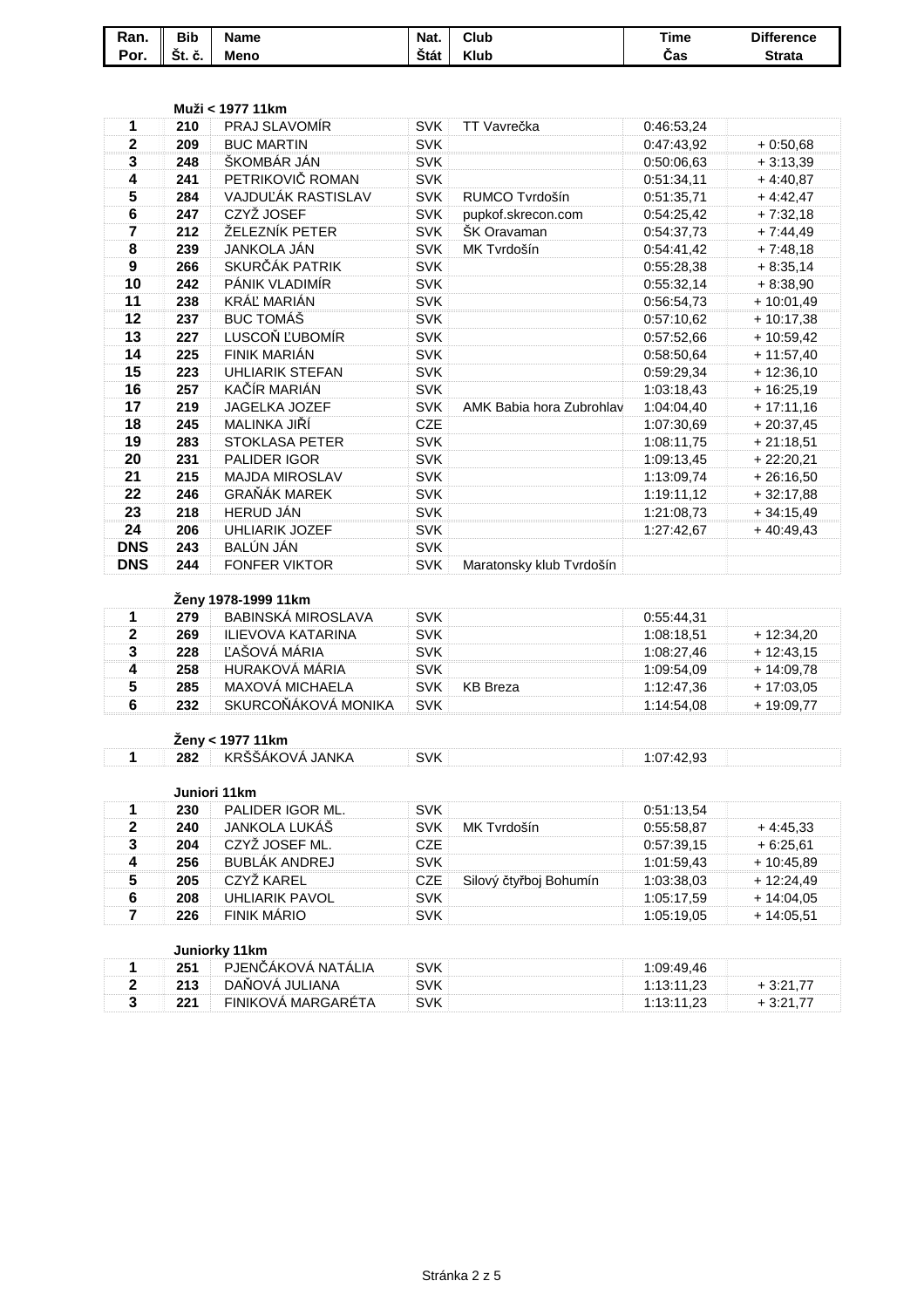| Ran. | <b>Bib</b>             | <b>Name</b> | Nat. | Club        | <b>Time</b> | <b>Difference</b> |
|------|------------------------|-------------|------|-------------|-------------|-------------------|
| Por. | $\mathbf{v}$<br>St. č. | <b>Meno</b> | Štát | <b>Klub</b> | Cas         | <b>Strata</b>     |

|                         |     | Muži < 1977 11km                    |            |                          |            |              |
|-------------------------|-----|-------------------------------------|------------|--------------------------|------------|--------------|
| 1                       | 210 | PRAJ SLAVOMÍR                       | <b>SVK</b> | TT Vavrečka              | 0:46:53,24 |              |
| $\mathbf 2$             | 209 | <b>BUC MARTIN</b>                   | <b>SVK</b> |                          | 0:47:43,92 | $+0.50,68$   |
| 3                       | 248 | ŠKOMBÁR JÁN                         | <b>SVK</b> |                          | 0:50:06,63 | $+3:13,39$   |
| 4                       | 241 | PETRIKOVIČ ROMAN                    | <b>SVK</b> |                          | 0:51:34,11 | $+4:40,87$   |
| 5                       | 284 | VAJDUĽÁK RASTISLAV                  | <b>SVK</b> | RUMCO Tvrdošín           | 0:51:35,71 | $+4:42,47$   |
| 6                       | 247 | CZYŽ JOSEF                          | <b>SVK</b> | pupkof.skrecon.com       | 0:54:25,42 | $+7:32,18$   |
| 7                       | 212 | ŽELEZNÍK PETER                      | <b>SVK</b> | ŠK Oravaman              | 0:54:37,73 | $+7:44,49$   |
| 8                       | 239 | <b>JANKOLA JÁN</b>                  | <b>SVK</b> | MK Tvrdošín              | 0:54:41,42 | $+7:48,18$   |
| 9                       | 266 | SKURČÁK PATRIK                      | <b>SVK</b> |                          | 0:55:28,38 | $+8:35,14$   |
| 10                      | 242 | PÁNIK VLADIMÍR                      | <b>SVK</b> |                          | 0:55:32,14 | $+8:38,90$   |
| 11                      | 238 | KRÁĽ MARIÁN                         | <b>SVK</b> |                          | 0:56:54,73 | $+10:01,49$  |
| 12                      | 237 | <b>BUC TOMÁŠ</b>                    | <b>SVK</b> |                          | 0:57:10,62 | $+10:17,38$  |
| 13                      | 227 | LUSCOŇ ĽUBOMÍR                      | <b>SVK</b> |                          | 0:57:52,66 | $+10:59,42$  |
| 14                      | 225 | FINIK MARIÁN                        | <b>SVK</b> |                          | 0:58:50,64 | $+ 11:57,40$ |
| 15                      | 223 | <b>UHLIARIK STEFAN</b>              | <b>SVK</b> |                          | 0:59:29,34 | $+12:36,10$  |
| 16                      | 257 | KAČÍR MARIÁN                        | <b>SVK</b> |                          | 1:03:18,43 | $+16:25,19$  |
| 17                      | 219 | JAGELKA JOZEF                       | <b>SVK</b> | AMK Babia hora Zubrohlav | 1:04:04,40 | $+17:11,16$  |
| 18                      | 245 | MALINKA JIŘÍ                        | <b>CZE</b> |                          | 1:07:30,69 | $+20:37,45$  |
| 19                      | 283 | <b>STOKLASA PETER</b>               | <b>SVK</b> |                          | 1:08:11,75 | $+21:18,51$  |
| 20                      | 231 | <b>PALIDER IGOR</b>                 | <b>SVK</b> |                          | 1:09:13,45 | $+22:20,21$  |
| 21                      | 215 | <b>MAJDA MIROSLAV</b>               | <b>SVK</b> |                          | 1:13:09,74 | $+26:16,50$  |
| 22                      | 246 | <b>GRAŇÁK MAREK</b>                 | <b>SVK</b> |                          | 1:19:11,12 | $+32:17,88$  |
| 23                      | 218 | HERUD JÁN                           | <b>SVK</b> |                          | 1:21:08,73 | $+34:15,49$  |
| 24                      | 206 | <b>UHLIARIK JOZEF</b>               | <b>SVK</b> |                          | 1:27:42,67 | $+40:49,43$  |
| <b>DNS</b>              | 243 | BALÚN JÁN                           | <b>SVK</b> |                          |            |              |
| <b>DNS</b>              | 244 | <b>FONFER VIKTOR</b>                | <b>SVK</b> | Maratonsky klub Tvrdošín |            |              |
|                         |     |                                     |            |                          |            |              |
|                         |     | Ženy 1978-1999 11km                 |            |                          |            |              |
| 1                       | 279 | BABINSKÁ MIROSLAVA                  | <b>SVK</b> |                          | 0:55:44,31 |              |
| $\mathbf 2$             | 269 | <b>ILIEVOVA KATARINA</b>            | <b>SVK</b> |                          | 1:08:18,51 | $+ 12:34,20$ |
| 3                       | 228 | ĽAŠOVÁ MÁRIA                        | <b>SVK</b> |                          | 1:08:27,46 | $+12:43,15$  |
| 4                       | 258 | HURAKOVÁ MÁRIA                      | <b>SVK</b> |                          | 1:09:54,09 | + 14:09,78   |
| 5                       | 285 | MAXOVÁ MICHAELA                     | <b>SVK</b> | <b>KB</b> Breza          | 1:12:47,36 | $+17:03,05$  |
| $6\phantom{1}$          | 232 | SKURCOŇÁKOVÁ MONIKA                 | <b>SVK</b> |                          | 1:14:54,08 | $+19:09,77$  |
|                         |     |                                     |            |                          |            |              |
|                         |     | Ženy < 1977 11km<br>KRŠŠÁKOVÁ JANKA |            |                          |            |              |
| 1                       | 282 |                                     | <b>SVK</b> |                          | 1:07:42,93 |              |
|                         |     | Juniori 11km                        |            |                          |            |              |
| 1                       | 230 | PALIDER IGOR ML.                    | <b>SVK</b> |                          | 0:51:13,54 |              |
| $\overline{\mathbf{2}}$ | 240 | JANKOLA LUKÁŠ                       | <b>SVK</b> | MK Tvrdošín              | 0:55:58,87 | $+4:45,33$   |
| 3                       | 204 | CZYŽ JOSEF ML.                      | CZE        |                          | 0:57:39,15 | $+6:25,61$   |
| 4                       | 256 | <b>BUBLÁK ANDREJ</b>                | <b>SVK</b> |                          | 1:01:59,43 | $+10:45,89$  |
| 5                       | 205 | CZYŽ KAREL                          | <b>CZE</b> | Silový čtyřboj Bohumín   | 1:03:38,03 | $+ 12:24,49$ |
| 6                       | 208 | <b>UHLIARIK PAVOL</b>               | <b>SVK</b> |                          | 1:05:17,59 | $+14:04,05$  |
| $\overline{7}$          | 226 | <b>FINIK MÁRIO</b>                  | <b>SVK</b> |                          | 1:05:19,05 | $+14:05,51$  |
|                         |     |                                     |            |                          |            |              |
|                         |     | Juniorky 11km                       |            |                          |            |              |
| 1                       | 251 | PJENČÁKOVÁ NATÁLIA                  | <b>SVK</b> |                          | 1:09:49,46 |              |
| $\overline{\mathbf{2}}$ | 213 | DAŇOVÁ JULIANA                      | <b>SVK</b> |                          | 1:13:11,23 | $+3:21,77$   |
| 3                       | 221 | FINIKOVÁ MARGARÉTA                  | <b>SVK</b> |                          | 1:13:11,23 | $+3:21,77$   |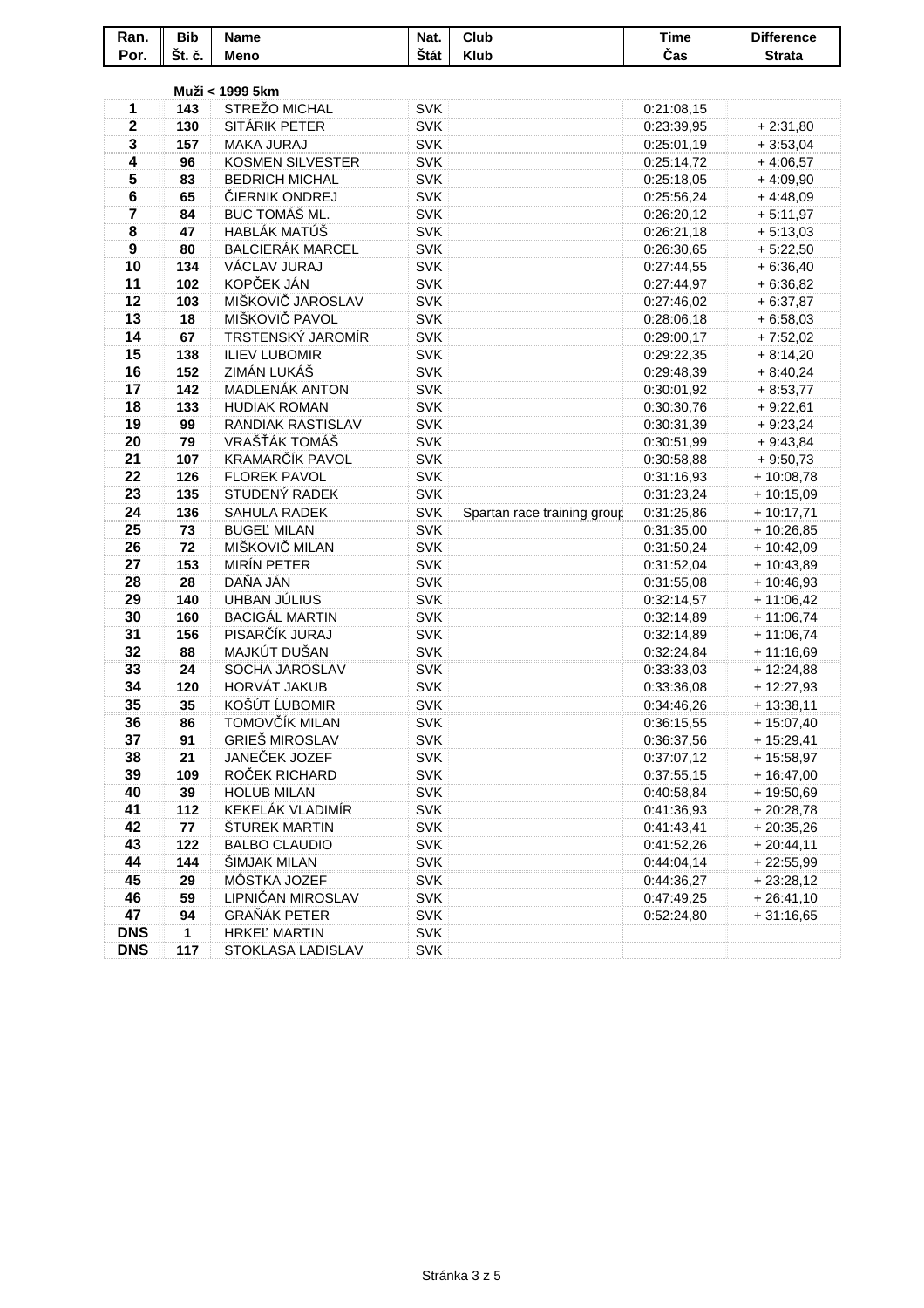| Ran.             | <b>Bib</b> | <b>Name</b>                          | Nat.                     | Club                        | <b>Time</b>              | <b>Difference</b>           |
|------------------|------------|--------------------------------------|--------------------------|-----------------------------|--------------------------|-----------------------------|
| Por.             | Št. č.     | Meno                                 | Štát                     | <b>Klub</b>                 | Čas                      | <b>Strata</b>               |
|                  |            |                                      |                          |                             |                          |                             |
|                  |            | Muži < 1999 5km                      |                          |                             |                          |                             |
| 1                | 143        | STREŽO MICHAL                        | <b>SVK</b>               |                             | 0:21:08,15               |                             |
| $\mathbf 2$      | 130        | SITÁRIK PETER                        | <b>SVK</b>               |                             | 0:23:39,95               | $+2:31,80$                  |
| 3                | 157        | <b>MAKA JURAJ</b>                    | <b>SVK</b>               |                             | 0:25:01,19               | $+3:53,04$                  |
| 4                | 96         | <b>KOSMEN SILVESTER</b>              | <b>SVK</b>               |                             | 0:25:14,72               | $+4:06,57$                  |
| 5                | 83         | <b>BEDRICH MICHAL</b>                | <b>SVK</b>               |                             | 0:25:18,05               | $+4:09,90$                  |
| 6                | 65         | ČIERNIK ONDREJ                       | <b>SVK</b>               |                             | 0:25:56,24               | $+4:48,09$                  |
| 7                | 84         | BUC TOMÁŠ ML.                        | <b>SVK</b>               |                             | 0:26:20,12               | $+5:11,97$                  |
| 8                | 47         | <b>HABLÁK MATÚŠ</b>                  | <b>SVK</b>               |                             | 0:26:21,18               | $+5:13,03$                  |
| $\boldsymbol{9}$ | 80         | <b>BALCIERÁK MARCEL</b>              | <b>SVK</b>               |                             | 0:26:30,65               | $+5:22,50$                  |
| 10               | 134        | VÁCLAV JURAJ                         | <b>SVK</b>               |                             | 0:27:44,55               | $+6:36,40$                  |
| 11               | 102        | KOPČEK JÁN                           | <b>SVK</b>               |                             | 0:27:44,97               | $+6:36,82$                  |
| 12               | 103        | MIŠKOVIČ JAROSLAV                    | <b>SVK</b>               |                             | 0:27:46,02               | $+6:37,87$                  |
| 13               | 18         | MIŠKOVIČ PAVOL                       | <b>SVK</b>               |                             | 0:28:06,18               | $+6:58,03$                  |
| 14               | 67         | TRSTENSKÝ JAROMÍR                    | <b>SVK</b>               |                             | 0:29:00,17               | $+7:52,02$                  |
| 15               | 138        | <b>ILIEV LUBOMIR</b>                 | <b>SVK</b>               |                             | 0:29:22,35               | $+8:14,20$                  |
| 16               | 152        | ZIMÁN LUKÁŠ                          | <b>SVK</b>               |                             | 0:29:48,39               | $+8:40,24$                  |
| 17               | 142        | MADLENÁK ANTON                       | <b>SVK</b>               |                             | 0:30:01,92               | $+8:53,77$                  |
| 18               | 133        | <b>HUDIAK ROMAN</b>                  | <b>SVK</b>               |                             | 0:30:30,76               | $+9:22,61$                  |
| 19               | 99         | <b>RANDIAK RASTISLAV</b>             | <b>SVK</b>               |                             | 0:30:31,39               | $+9:23,24$                  |
| 20               | 79         | VRAŠŤÁK TOMÁŠ                        | <b>SVK</b>               |                             | 0:30:51,99               | $+9:43,84$                  |
| 21               | 107        | KRAMARČÍK PAVOL                      | <b>SVK</b>               |                             | 0:30:58,88               | $+9:50,73$                  |
| 22               | 126        | <b>FLOREK PAVOL</b>                  | <b>SVK</b>               |                             | 0:31:16,93               | $+10:08,78$                 |
| 23               | 135        | STUDENÝ RADEK                        | <b>SVK</b>               |                             | 0:31:23,24               | $+10:15,09$                 |
| 24               | 136        | SAHULA RADEK                         | <b>SVK</b>               | Spartan race training group | 0:31:25,86               | $+10:17,71$                 |
| 25               | 73         | <b>BUGEL' MILAN</b>                  | <b>SVK</b>               |                             | 0:31:35,00               | $+10:26,85$                 |
| 26<br>27         | 72         | MIŠKOVIČ MILAN<br><b>MIRÍN PETER</b> | <b>SVK</b>               |                             | 0:31:50,24               | $+10:42,09$                 |
| 28               | 153<br>28  | DAŇA JÁN                             | <b>SVK</b><br><b>SVK</b> |                             | 0:31:52,04               | $+10:43,89$                 |
| 29               | 140        | UHBAN JÚLIUS                         | <b>SVK</b>               |                             | 0:31:55,08<br>0:32:14,57 | $+10:46,93$<br>$+ 11:06,42$ |
| 30               | 160        | <b>BACIGÁL MARTIN</b>                | <b>SVK</b>               |                             | 0:32:14,89               | $+11:06,74$                 |
| 31               | 156        | PISARČÍK JURAJ                       | <b>SVK</b>               |                             | 0:32:14,89               | $+11:06,74$                 |
| 32               | 88         | MAJKÚT DUŠAN                         | <b>SVK</b>               |                             | 0:32:24,84               | $+11:16,69$                 |
| 33               | 24         | SOCHA JAROSLAV                       | <b>SVK</b>               |                             | 0:33:33,03               | $+ 12:24,88$                |
| 34               | 120        | HORVÁT JAKUB                         | <b>SVK</b>               |                             | 0:33:36,08               | $+12:27,93$                 |
| 35               | 35         | KOŠÚT ĹUBOMIR                        | <b>SVK</b>               |                             | 0:34:46,26               | $+13:38,11$                 |
| 36               | 86         | TOMOVČÍK MILAN                       | SVK                      |                             | 0:36:15,55               | $+15:07,40$                 |
| 37               | 91         | <b>GRIEŠ MIROSLAV</b>                | <b>SVK</b>               |                             | 0:36:37,56               | $+15:29,41$                 |
| 38               | 21         | JANEČEK JOZEF                        | SVK                      |                             | 0:37:07,12               | $+15:58,97$                 |
| 39               | 109        | ROČEK RICHARD                        | <b>SVK</b>               |                             | 0:37:55,15               | $+16:47,00$                 |
| 40               | 39         | <b>HOLUB MILAN</b>                   | <b>SVK</b>               |                             | 0:40:58,84               | $+19:50,69$                 |
| 41               | 112        | KEKELÁK VLADIMÍR                     | <b>SVK</b>               |                             | 0:41:36,93               | $+20:28,78$                 |
| 42               | 77         | ŠTUREK MARTIN                        | <b>SVK</b>               |                             | 0:41:43,41               | $+20:35,26$                 |
| 43               | 122        | <b>BALBO CLAUDIO</b>                 | <b>SVK</b>               |                             | 0:41:52,26               | $+20:44,11$                 |
| 44               | 144        | ŠIMJAK MILAN                         | <b>SVK</b>               |                             | 0:44:04,14               | $+22:55,99$                 |
| 45               | 29         | MÔSTKA JOZEF                         | <b>SVK</b>               |                             | 0:44:36,27               | $+23:28,12$                 |
| 46               | 59         | LIPNIČAN MIROSLAV                    | <b>SVK</b>               |                             | 0:47:49,25               | $+26:41,10$                 |
| 47               | 94         | <b>GRAŇÁK PETER</b>                  | <b>SVK</b>               |                             | 0:52:24,80               | $+31:16,65$                 |
| <b>DNS</b>       | 1          | <b>HRKEL MARTIN</b>                  | <b>SVK</b>               |                             |                          |                             |
| <b>DNS</b>       | 117        | STOKLASA LADISLAV                    | <b>SVK</b>               |                             |                          |                             |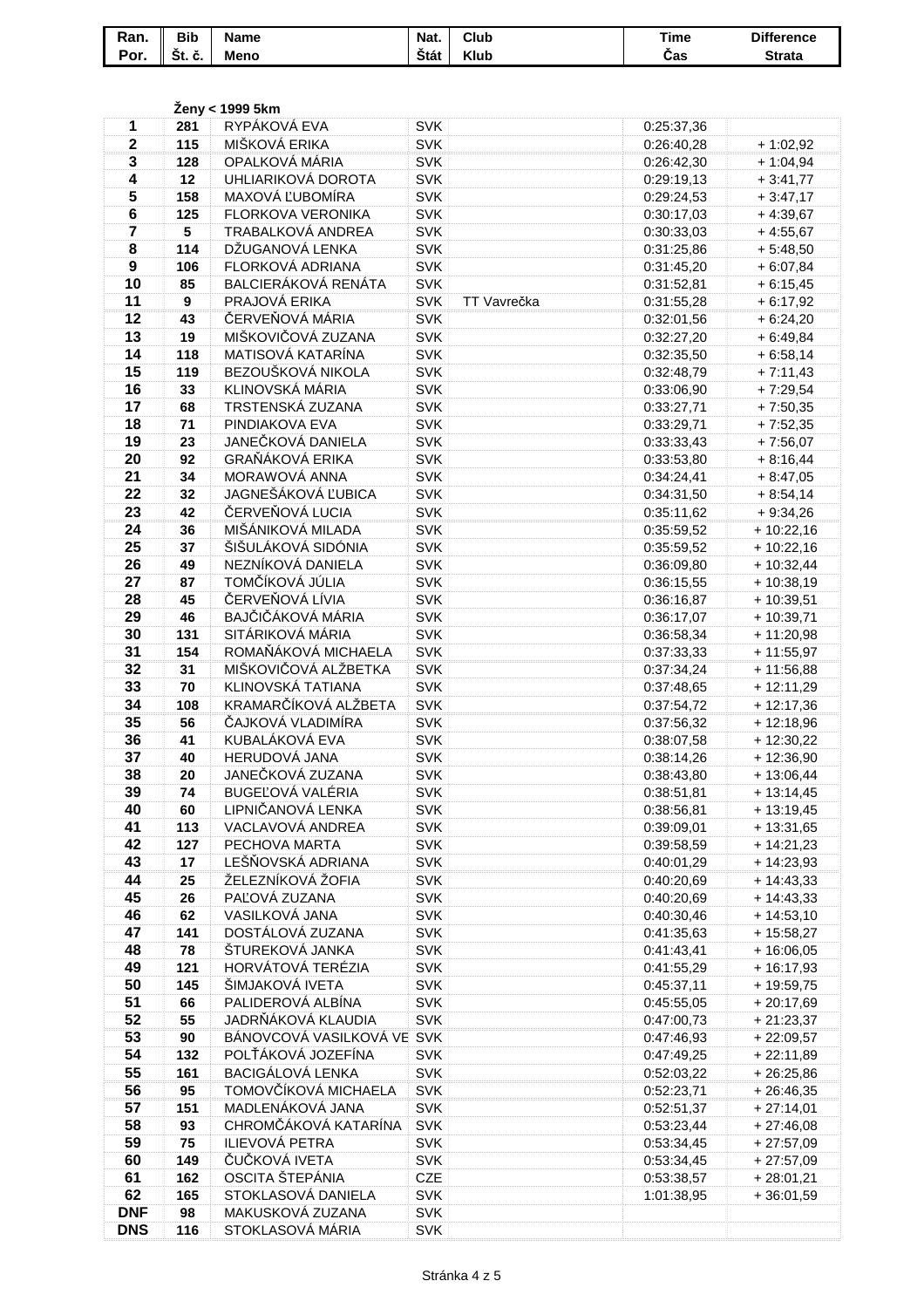| Ran. | <b>Bib</b>       | <b>Name</b> | Nat.        | Club        | <b>Time</b> | <b>Difference</b> |
|------|------------------|-------------|-------------|-------------|-------------|-------------------|
| Por. | $\sim$<br>Št. č. | <b>Meno</b> | <b>Stát</b> | <b>Klub</b> | Cas         | <b>Strata</b>     |

|                         |            | Ženy < 1999 5km                               |                   |             |                          |              |
|-------------------------|------------|-----------------------------------------------|-------------------|-------------|--------------------------|--------------|
| 1                       | 281        | RYPÁKOVÁ EVA                                  | <b>SVK</b>        |             | 0:25:37,36               |              |
| $\mathbf{2}$            | 115        | MIŠKOVÁ ERIKA                                 | <b>SVK</b>        |             | 0:26:40,28               | $+1:02,92$   |
| 3                       | 128        | OPALKOVÁ MÁRIA                                | <b>SVK</b>        |             | 0:26:42,30               | $+1:04,94$   |
| 4                       | 12         | UHLIARIKOVÁ DOROTA                            | <b>SVK</b>        |             | 0:29:19,13               | $+3:41,77$   |
| 5                       | 158        | MAXOVÁ ĽUBOMÍRA                               | <b>SVK</b>        |             | 0:29:24,53               | $+3:47,17$   |
| 6                       | 125        | FLORKOVA VERONIKA                             | <b>SVK</b>        |             | 0:30:17,03               | $+4:39,67$   |
| $\overline{\mathbf{7}}$ | 5          | TRABALKOVÁ ANDREA                             | <b>SVK</b>        |             | 0:30:33,03               | $+4:55,67$   |
| 8                       | 114        | DŽUGANOVÁ LENKA                               | <b>SVK</b>        |             | 0:31:25,86               | $+5:48,50$   |
| 9                       | 106        | FLORKOVÁ ADRIANA                              | <b>SVK</b>        |             | 0:31:45,20               | $+6:07,84$   |
| 10                      | 85         | BALCIERÁKOVÁ RENÁTA                           | <b>SVK</b>        |             | 0:31:52,81               | $+6:15,45$   |
| 11                      | 9          | PRAJOVÁ ERIKA                                 | <b>SVK</b>        | TT Vavrečka | 0:31:55,28               | $+6:17,92$   |
| 12                      | 43         | ČERVEŇOVÁ MÁRIA                               | <b>SVK</b>        |             | 0:32:01,56               | $+6:24,20$   |
| 13                      | 19         | MIŠKOVIČOVÁ ZUZANA                            | <b>SVK</b>        |             | 0:32:27,20               | $+6:49,84$   |
| 14                      | 118        | MATISOVÁ KATARÍNA                             | <b>SVK</b>        |             | 0:32:35,50               | $+6:58,14$   |
| 15                      | 119        | BEZOUŠKOVÁ NIKOLA                             | <b>SVK</b>        |             | 0:32:48,79               | $+7:11,43$   |
| 16                      | 33         | KLINOVSKÁ MÁRIA                               | SVK               |             | 0:33:06,90               | $+7:29,54$   |
| 17                      | 68         | TRSTENSKÁ ZUZANA                              | <b>SVK</b>        |             | 0:33:27,71               | $+7:50,35$   |
| 18                      | 71         | PINDIAKOVA EVA                                | <b>SVK</b>        |             | 0:33:29,71               | $+7:52,35$   |
| 19                      | 23         | JANEČKOVÁ DANIELA                             | <b>SVK</b>        |             | 0:33:33,43               | $+7:56,07$   |
| 20                      | 92         | GRAŇÁKOVÁ ERIKA                               | <b>SVK</b>        |             | 0:33:53,80               | $+8:16,44$   |
| 21                      | 34         | MORAWOVÁ ANNA                                 | <b>SVK</b>        |             | 0:34:24,41               | $+8:47,05$   |
| 22                      | 32         | JAGNEŠÁKOVÁ ĽUBICA                            | <b>SVK</b>        |             | 0:34:31,50               | $+8:54,14$   |
| 23                      | 42         | ČERVEŇOVÁ LUCIA                               | <b>SVK</b>        |             | 0:35:11,62               | $+9:34,26$   |
| 24                      | 36         | MIŠÁNIKOVÁ MILADA                             | <b>SVK</b>        |             | 0:35:59,52               | $+10:22,16$  |
| 25                      | 37         | ŠIŠULÁKOVÁ SIDÓNIA                            | <b>SVK</b>        |             | 0:35:59,52               | $+10:22,16$  |
| 26                      | 49         | NEZNÍKOVÁ DANIELA                             | <b>SVK</b>        |             | 0:36:09,80               | $+10:32,44$  |
| 27                      | 87         | TOMČÍKOVÁ JÚLIA                               | <b>SVK</b>        |             | 0:36:15,55               | $+10:38,19$  |
| 28                      | 45         | ČERVEŇOVÁ LÍVIA                               | <b>SVK</b>        |             | 0:36:16,87               | $+10:39,51$  |
| 29                      | 46         | BAJČIČÁKOVÁ MÁRIA                             | <b>SVK</b>        |             | 0:36:17,07               | $+10:39,71$  |
| 30                      | 131        | SITÁRIKOVÁ MÁRIA                              | <b>SVK</b>        |             | 0:36:58,34               | $+11:20,98$  |
| 31                      | 154        | ROMAŇÁKOVÁ MICHAELA                           | <b>SVK</b>        |             | 0:37:33,33               | $+11:55,97$  |
| 32                      | 31         | MIŠKOVIČOVÁ ALŽBETKA                          | <b>SVK</b>        |             | 0:37:34,24               | $+11:56,88$  |
| 33                      | 70         | KLINOVSKÁ TATIANA                             | <b>SVK</b>        |             | 0:37:48,65               | $+12:11,29$  |
| 34                      | 108        | KRAMARČÍKOVÁ ALŽBETA                          | <b>SVK</b>        |             | 0:37:54,72               | $+12:17,36$  |
| 35                      | 56         | ČAJKOVÁ VLADIMÍRA                             | <b>SVK</b>        |             | 0:37:56,32               | $+12:18,96$  |
| 36                      | 41         | KUBALÁKOVÁ EVA                                | <b>SVK</b>        |             | 0:38:07,58               | $+ 12:30,22$ |
| 37                      | 40         | HERUDOVÁ JANA                                 | <b>SVK</b>        |             | 0:38:14,26               | $+12:36,90$  |
| 38                      | 20         | JANEČKOVÁ ZUZANA                              | <b>SVK</b>        |             | 0:38:43,80               | $+ 13:06,44$ |
| 39                      | 74         | BUGEĽOVÁ VALÉRIA                              | SVK               |             | 0:38:51,81               | + 13:14,45   |
| 40                      | 60         | LIPNIČANOVÁ LENKA                             | <b>SVK</b>        |             | 0:38:56,81               | $+13:19,45$  |
| 41                      | 113        | VACLAVOVÁ ANDREA                              | <b>SVK</b>        |             | 0:39:09,01               | $+13:31,65$  |
| 42                      | 127        | PECHOVA MARTA                                 | <b>SVK</b>        |             | 0:39:58,59               | $+ 14:21,23$ |
| 43                      | 17         | LEŠŇOVSKÁ ADRIANA                             | <b>SVK</b>        |             | 0:40:01,29               | $+ 14:23,93$ |
| 44                      | 25         | ŽELEZNÍKOVÁ ŽOFIA                             | <b>SVK</b>        |             | 0:40:20,69               | $+ 14:43,33$ |
| 45                      | 26         | PAĽOVÁ ZUZANA                                 | <b>SVK</b>        |             | 0:40:20,69               | $+ 14:43,33$ |
| 46                      | 62         | VASILKOVÁ JANA                                | <b>SVK</b>        |             | 0:40:30,46               | $+14:53,10$  |
| 47                      | 141        | DOSTÁLOVÁ ZUZANA                              | <b>SVK</b>        |             | 0:41:35,63               | + 15:58,27   |
| 48                      | 78         | ŠTUREKOVÁ JANKA                               | <b>SVK</b>        |             | 0:41:43,41               | $+16:06,05$  |
| 49                      | 121        | HORVÁTOVÁ TERÉZIA                             | <b>SVK</b>        |             | 0:41:55,29               | $+16:17,93$  |
| 50                      | 145        | ŠIMJAKOVÁ IVETA                               | <b>SVK</b>        |             | 0:45:37,11               | $+19:59,75$  |
| 51                      | 66         | PALIDEROVÁ ALBÍNA                             | <b>SVK</b>        |             | 0:45:55,05               | $+20:17,69$  |
| 52                      | 55         | JADRŇÁKOVÁ KLAUDIA                            | <b>SVK</b>        |             | 0:47:00,73               | $+21:23,37$  |
| 53                      | 90         | BÁNOVCOVÁ VASILKOVÁ VE SVK                    |                   |             | 0:47:46,93               | $+22:09,57$  |
| 54                      | 132        | POLŤÁKOVÁ JOZEFÍNA<br><b>BACIGÁLOVÁ LENKA</b> | <b>SVK</b>        |             | 0:47:49,25               | $+22:11,89$  |
| 55                      | 161        |                                               | <b>SVK</b>        |             | 0:52:03,22               | $+26:25,86$  |
| 56                      | 95         | TOMOVČÍKOVÁ MICHAELA                          | <b>SVK</b>        |             | 0:52:23,71               | $+26:46,35$  |
| 57                      | 151        | MADLENÁKOVÁ JANA                              | <b>SVK</b>        |             | 0:52:51,37               | $+27:14,01$  |
| 58                      | 93         | CHROMČÁKOVÁ KATARÍNA                          | <b>SVK</b>        |             | 0:53:23,44               | $+27:46,08$  |
| 59<br>60                | 75         | ILIEVOVÁ PETRA<br>ČUČKOVÁ IVETA               | <b>SVK</b>        |             | 0:53:34,45               | $+27:57,09$  |
| 61                      | 149<br>162 | OSCITA ŠTEPÁNIA                               | <b>SVK</b><br>CZE |             | 0:53:34,45               | $+27:57,09$  |
| 62                      | 165        | STOKLASOVÁ DANIELA                            | <b>SVK</b>        |             | 0:53:38,57<br>1:01:38,95 | $+28:01,21$  |
| <b>DNF</b>              | 98         | MAKUSKOVÁ ZUZANA                              | <b>SVK</b>        |             |                          | $+36:01,59$  |
| <b>DNS</b>              | 116        | STOKLASOVÁ MÁRIA                              | <b>SVK</b>        |             |                          |              |
|                         |            |                                               |                   |             |                          |              |